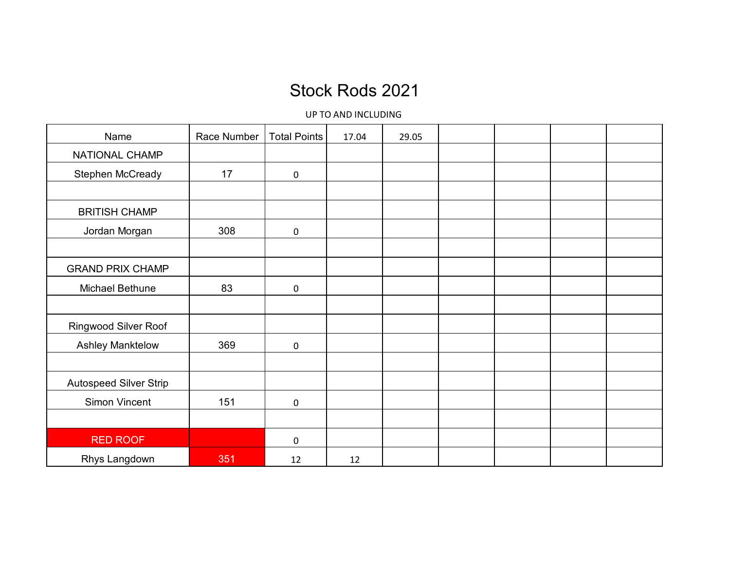## Stock Rods 2021

UP TO AND INCLUDING

| Name                          | Race Number | <b>Total Points</b> | 17.04 | 29.05 |  |  |
|-------------------------------|-------------|---------------------|-------|-------|--|--|
| NATIONAL CHAMP                |             |                     |       |       |  |  |
| Stephen McCready              | 17          | $\pmb{0}$           |       |       |  |  |
|                               |             |                     |       |       |  |  |
| <b>BRITISH CHAMP</b>          |             |                     |       |       |  |  |
| Jordan Morgan                 | 308         | $\mathbf 0$         |       |       |  |  |
|                               |             |                     |       |       |  |  |
| <b>GRAND PRIX CHAMP</b>       |             |                     |       |       |  |  |
| Michael Bethune               | 83          | $\mathbf 0$         |       |       |  |  |
|                               |             |                     |       |       |  |  |
| <b>Ringwood Silver Roof</b>   |             |                     |       |       |  |  |
| <b>Ashley Manktelow</b>       | 369         | $\pmb{0}$           |       |       |  |  |
|                               |             |                     |       |       |  |  |
| <b>Autospeed Silver Strip</b> |             |                     |       |       |  |  |
| Simon Vincent                 | 151         | $\pmb{0}$           |       |       |  |  |
|                               |             |                     |       |       |  |  |
| <b>RED ROOF</b>               |             | $\mathbf 0$         |       |       |  |  |
| Rhys Langdown                 | 351         | 12                  | 12    |       |  |  |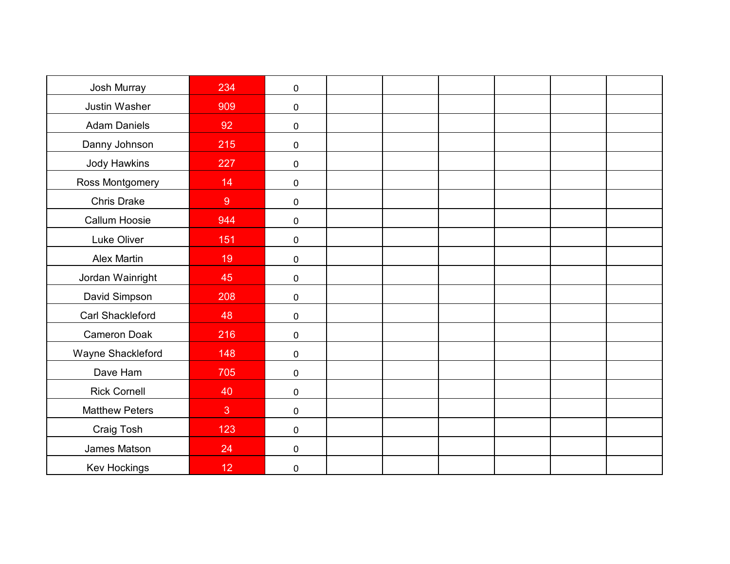| Josh Murray             | 234   | $\mathbf 0$ |  |  |  |
|-------------------------|-------|-------------|--|--|--|
| <b>Justin Washer</b>    | 909   | $\mathbf 0$ |  |  |  |
| <b>Adam Daniels</b>     | 92    | $\mathbf 0$ |  |  |  |
| Danny Johnson           | 215   | $\mathbf 0$ |  |  |  |
| Jody Hawkins            | 227   | $\mathbf 0$ |  |  |  |
| Ross Montgomery         | 14    | $\mathbf 0$ |  |  |  |
| Chris Drake             | $9\,$ | $\mathbf 0$ |  |  |  |
| Callum Hoosie           | 944   | $\mathbf 0$ |  |  |  |
| Luke Oliver             | 151   | $\mathbf 0$ |  |  |  |
| <b>Alex Martin</b>      | 19    | $\mathbf 0$ |  |  |  |
| Jordan Wainright        | 45    | $\mathbf 0$ |  |  |  |
| David Simpson           | 208   | $\mathbf 0$ |  |  |  |
| <b>Carl Shackleford</b> | 48    | $\mathbf 0$ |  |  |  |
| <b>Cameron Doak</b>     | 216   | $\pmb{0}$   |  |  |  |
| Wayne Shackleford       | 148   | $\mathbf 0$ |  |  |  |
| Dave Ham                | 705   | $\mathbf 0$ |  |  |  |
| <b>Rick Cornell</b>     | 40    | $\mathbf 0$ |  |  |  |
| <b>Matthew Peters</b>   | 3     | $\mathbf 0$ |  |  |  |
| Craig Tosh              | 123   | $\mathbf 0$ |  |  |  |
| James Matson            | 24    | $\mathbf 0$ |  |  |  |
| Kev Hockings            | 12    | $\pmb{0}$   |  |  |  |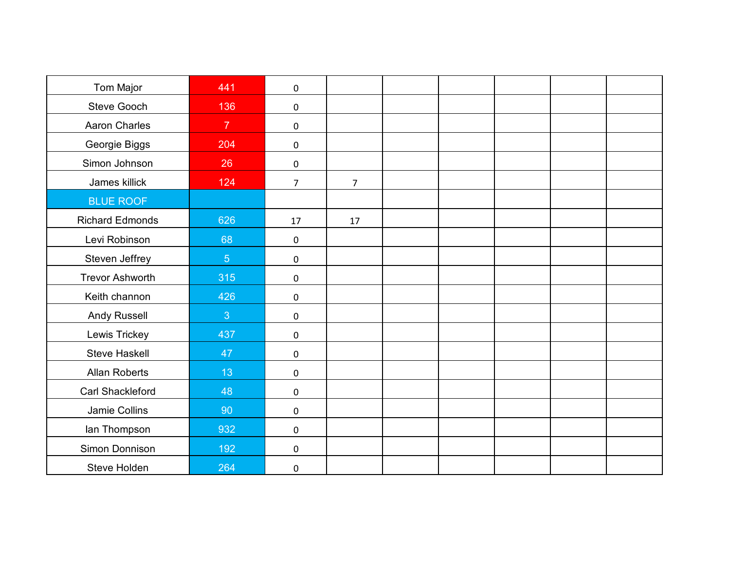| Tom Major              | 441            | $\mathbf 0$    |                |  |  |  |
|------------------------|----------------|----------------|----------------|--|--|--|
| <b>Steve Gooch</b>     | 136            | $\mathbf 0$    |                |  |  |  |
| <b>Aaron Charles</b>   | $\overline{7}$ | $\pmb{0}$      |                |  |  |  |
| Georgie Biggs          | 204            | $\mathbf 0$    |                |  |  |  |
| Simon Johnson          | 26             | $\mathbf 0$    |                |  |  |  |
| James killick          | 124            | $\overline{7}$ | $\overline{7}$ |  |  |  |
| <b>BLUE ROOF</b>       |                |                |                |  |  |  |
| <b>Richard Edmonds</b> | 626            | 17             | 17             |  |  |  |
| Levi Robinson          | 68             | $\pmb{0}$      |                |  |  |  |
| Steven Jeffrey         | 5 <sup>1</sup> | $\pmb{0}$      |                |  |  |  |
| <b>Trevor Ashworth</b> | 315            | $\mathbf 0$    |                |  |  |  |
| Keith channon          | 426            | $\mathbf 0$    |                |  |  |  |
| Andy Russell           | 3              | $\pmb{0}$      |                |  |  |  |
| Lewis Trickey          | 437            | $\mathbf 0$    |                |  |  |  |
| <b>Steve Haskell</b>   | 47             | $\mathbf 0$    |                |  |  |  |
| <b>Allan Roberts</b>   | 13             | $\pmb{0}$      |                |  |  |  |
| Carl Shackleford       | 48             | $\mathbf 0$    |                |  |  |  |
| Jamie Collins          | 90             | $\pmb{0}$      |                |  |  |  |
| lan Thompson           | 932            | $\mathbf 0$    |                |  |  |  |
| Simon Donnison         | 192            | $\mathbf 0$    |                |  |  |  |
| Steve Holden           | 264            | $\pmb{0}$      |                |  |  |  |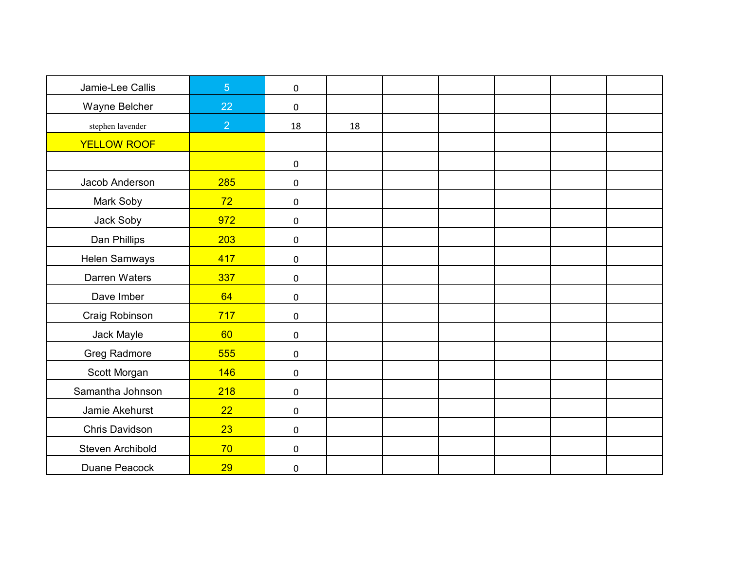| Jamie-Lee Callis     | 5 <sup>5</sup> | $\mathbf 0$ |    |  |  |  |
|----------------------|----------------|-------------|----|--|--|--|
| Wayne Belcher        | 22             | $\mathbf 0$ |    |  |  |  |
| stephen lavender     | $\overline{2}$ | 18          | 18 |  |  |  |
| <b>YELLOW ROOF</b>   |                |             |    |  |  |  |
|                      |                | $\mathbf 0$ |    |  |  |  |
| Jacob Anderson       | 285            | $\mathbf 0$ |    |  |  |  |
| Mark Soby            | 72             | $\pmb{0}$   |    |  |  |  |
| Jack Soby            | 972            | $\mathbf 0$ |    |  |  |  |
| Dan Phillips         | 203            | $\pmb{0}$   |    |  |  |  |
| <b>Helen Samways</b> | 417            | $\mathbf 0$ |    |  |  |  |
| Darren Waters        | 337            | $\mathbf 0$ |    |  |  |  |
| Dave Imber           | 64             | $\mathbf 0$ |    |  |  |  |
| Craig Robinson       | 717            | $\pmb{0}$   |    |  |  |  |
| Jack Mayle           | 60             | $\mathbf 0$ |    |  |  |  |
| <b>Greg Radmore</b>  | 555            | $\mathbf 0$ |    |  |  |  |
| Scott Morgan         | 146            | $\pmb{0}$   |    |  |  |  |
| Samantha Johnson     | 218            | $\mathbf 0$ |    |  |  |  |
| Jamie Akehurst       | 22             | $\pmb{0}$   |    |  |  |  |
| Chris Davidson       | 23             | $\mathbf 0$ |    |  |  |  |
| Steven Archibold     | 70             | $\mathbf 0$ |    |  |  |  |
| Duane Peacock        | 29             | $\pmb{0}$   |    |  |  |  |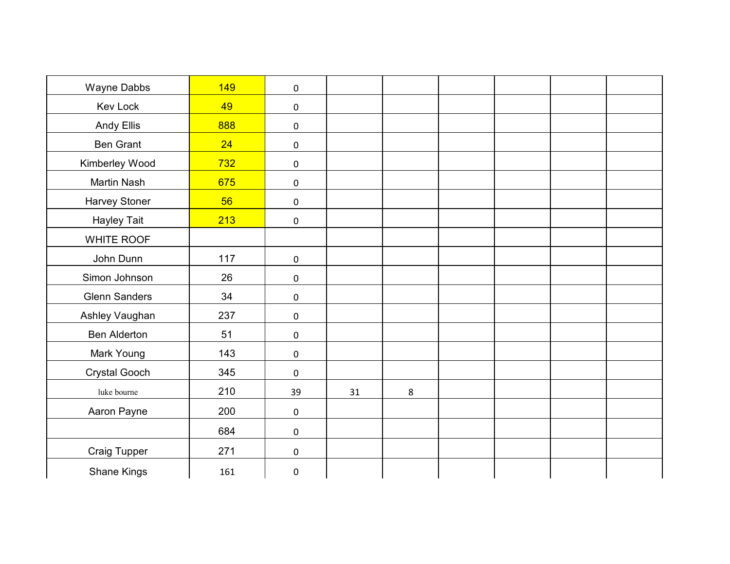| Wayne Dabbs          | 149 | $\mathbf 0$ |    |         |  |  |
|----------------------|-----|-------------|----|---------|--|--|
| <b>Kev Lock</b>      | 49  | $\mathbf 0$ |    |         |  |  |
| <b>Andy Ellis</b>    | 888 | $\mathbf 0$ |    |         |  |  |
| <b>Ben Grant</b>     | 24  | $\mathbf 0$ |    |         |  |  |
| Kimberley Wood       | 732 | $\mathbf 0$ |    |         |  |  |
| <b>Martin Nash</b>   | 675 | $\mathbf 0$ |    |         |  |  |
| <b>Harvey Stoner</b> | 56  | $\pmb{0}$   |    |         |  |  |
| <b>Hayley Tait</b>   | 213 | $\pmb{0}$   |    |         |  |  |
| WHITE ROOF           |     |             |    |         |  |  |
| John Dunn            | 117 | $\pmb{0}$   |    |         |  |  |
| Simon Johnson        | 26  | $\pmb{0}$   |    |         |  |  |
| <b>Glenn Sanders</b> | 34  | $\mathbf 0$ |    |         |  |  |
| Ashley Vaughan       | 237 | $\pmb{0}$   |    |         |  |  |
| <b>Ben Alderton</b>  | 51  | $\mathbf 0$ |    |         |  |  |
| Mark Young           | 143 | $\pmb{0}$   |    |         |  |  |
| <b>Crystal Gooch</b> | 345 | $\mathbf 0$ |    |         |  |  |
| luke bourne          | 210 | 39          | 31 | $\bf 8$ |  |  |
| Aaron Payne          | 200 | $\mathbf 0$ |    |         |  |  |
|                      | 684 | $\pmb{0}$   |    |         |  |  |
| Craig Tupper         | 271 | $\pmb{0}$   |    |         |  |  |
| <b>Shane Kings</b>   | 161 | $\pmb{0}$   |    |         |  |  |